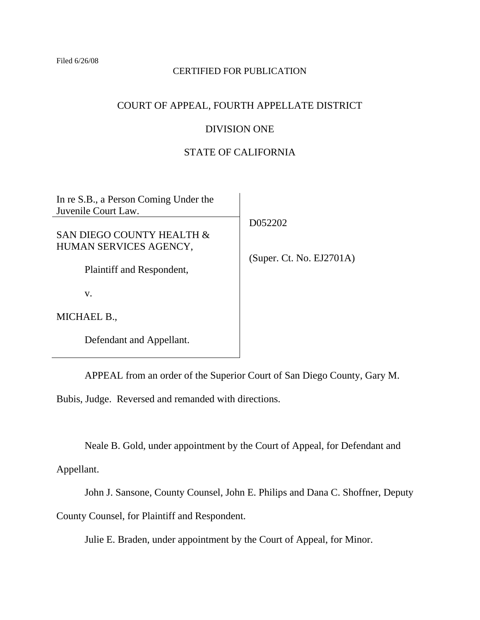Filed 6/26/08

### CERTIFIED FOR PUBLICATION

## COURT OF APPEAL, FOURTH APPELLATE DISTRICT

# DIVISION ONE

# STATE OF CALIFORNIA

In re S.B., a Person Coming Under the Juvenile Court Law.

# SAN DIEGO COUNTY HEALTH & HUMAN SERVICES AGENCY,

Plaintiff and Respondent,

v.

MICHAEL B.,

Defendant and Appellant.

APPEAL from an order of the Superior Court of San Diego County, Gary M.

Bubis, Judge. Reversed and remanded with directions.

Neale B. Gold, under appointment by the Court of Appeal, for Defendant and

Appellant.

John J. Sansone, County Counsel, John E. Philips and Dana C. Shoffner, Deputy

County Counsel, for Plaintiff and Respondent.

Julie E. Braden, under appointment by the Court of Appeal, for Minor.

D052202

(Super. Ct. No. EJ2701A)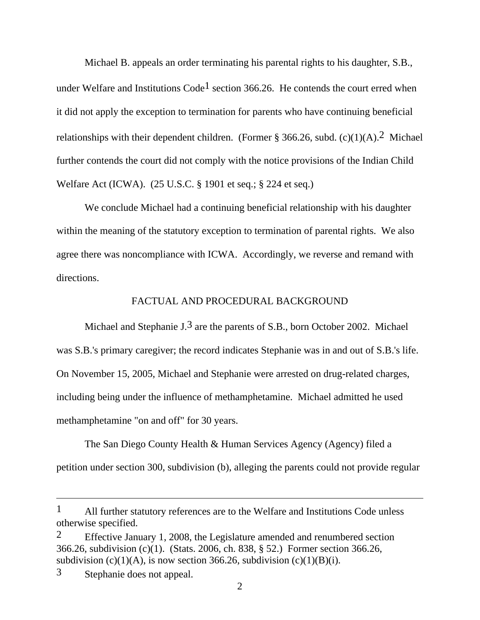Michael B. appeals an order terminating his parental rights to his daughter, S.B., under Welfare and Institutions  $Code<sup>1</sup>$  section 366.26. He contends the court erred when it did not apply the exception to termination for parents who have continuing beneficial relationships with their dependent children. (Former § 366.26, subd.  $(c)(1)(A)$ .<sup>2</sup> Michael further contends the court did not comply with the notice provisions of the Indian Child Welfare Act (ICWA). (25 U.S.C. § 1901 et seq.; § 224 et seq.)

 We conclude Michael had a continuing beneficial relationship with his daughter within the meaning of the statutory exception to termination of parental rights. We also agree there was noncompliance with ICWA. Accordingly, we reverse and remand with directions.

### FACTUAL AND PROCEDURAL BACKGROUND

Michael and Stephanie J.<sup>3</sup> are the parents of S.B., born October 2002. Michael was S.B.'s primary caregiver; the record indicates Stephanie was in and out of S.B.'s life. On November 15, 2005, Michael and Stephanie were arrested on drug-related charges, including being under the influence of methamphetamine. Michael admitted he used methamphetamine "on and off" for 30 years.

 The San Diego County Health & Human Services Agency (Agency) filed a petition under section 300, subdivision (b), alleging the parents could not provide regular

<sup>1</sup> All further statutory references are to the Welfare and Institutions Code unless otherwise specified.

<sup>&</sup>lt;sup>2</sup> Effective January 1, 2008, the Legislature amended and renumbered section 366.26, subdivision (c)(1). (Stats. 2006, ch. 838, § 52.) Former section 366.26, subdivision (c)(1)(A), is now section 366.26, subdivision (c)(1)(B)(i).

<sup>3</sup> Stephanie does not appeal.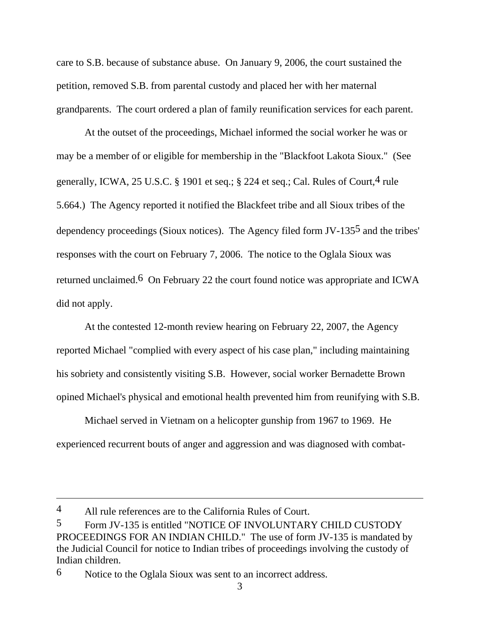care to S.B. because of substance abuse. On January 9, 2006, the court sustained the petition, removed S.B. from parental custody and placed her with her maternal grandparents. The court ordered a plan of family reunification services for each parent.

 At the outset of the proceedings, Michael informed the social worker he was or may be a member of or eligible for membership in the "Blackfoot Lakota Sioux." (See generally, ICWA, 25 U.S.C. § 1901 et seq.; § 224 et seq.; Cal. Rules of Court,  $4$  rule 5.664.) The Agency reported it notified the Blackfeet tribe and all Sioux tribes of the dependency proceedings (Sioux notices). The Agency filed form JV-1355 and the tribes' responses with the court on February 7, 2006. The notice to the Oglala Sioux was returned unclaimed.6 On February 22 the court found notice was appropriate and ICWA did not apply.

 At the contested 12-month review hearing on February 22, 2007, the Agency reported Michael "complied with every aspect of his case plan," including maintaining his sobriety and consistently visiting S.B. However, social worker Bernadette Brown opined Michael's physical and emotional health prevented him from reunifying with S.B.

 Michael served in Vietnam on a helicopter gunship from 1967 to 1969. He experienced recurrent bouts of anger and aggression and was diagnosed with combat-

<sup>4</sup> All rule references are to the California Rules of Court.

<sup>5</sup> Form JV-135 is entitled "NOTICE OF INVOLUNTARY CHILD CUSTODY PROCEEDINGS FOR AN INDIAN CHILD." The use of form JV-135 is mandated by the Judicial Council for notice to Indian tribes of proceedings involving the custody of Indian children.

<sup>6</sup> Notice to the Oglala Sioux was sent to an incorrect address.

<sup>3</sup>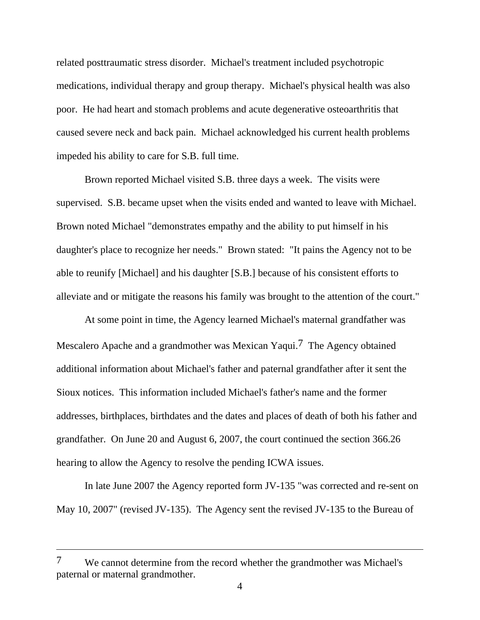related posttraumatic stress disorder. Michael's treatment included psychotropic medications, individual therapy and group therapy. Michael's physical health was also poor. He had heart and stomach problems and acute degenerative osteoarthritis that caused severe neck and back pain. Michael acknowledged his current health problems impeded his ability to care for S.B. full time.

 Brown reported Michael visited S.B. three days a week. The visits were supervised. S.B. became upset when the visits ended and wanted to leave with Michael. Brown noted Michael "demonstrates empathy and the ability to put himself in his daughter's place to recognize her needs." Brown stated: "It pains the Agency not to be able to reunify [Michael] and his daughter [S.B.] because of his consistent efforts to alleviate and or mitigate the reasons his family was brought to the attention of the court."

 At some point in time, the Agency learned Michael's maternal grandfather was Mescalero Apache and a grandmother was Mexican Yaqui.<sup>7</sup> The Agency obtained additional information about Michael's father and paternal grandfather after it sent the Sioux notices. This information included Michael's father's name and the former addresses, birthplaces, birthdates and the dates and places of death of both his father and grandfather. On June 20 and August 6, 2007, the court continued the section 366.26 hearing to allow the Agency to resolve the pending ICWA issues.

 In late June 2007 the Agency reported form JV-135 "was corrected and re-sent on May 10, 2007" (revised JV-135). The Agency sent the revised JV-135 to the Bureau of

<sup>7</sup> We cannot determine from the record whether the grandmother was Michael's paternal or maternal grandmother.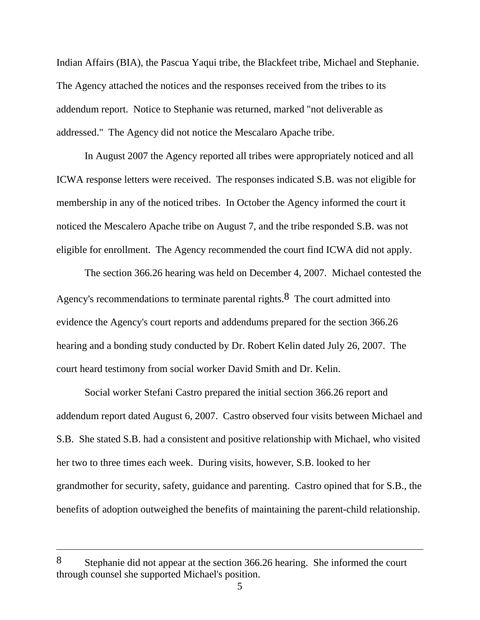Indian Affairs (BIA), the Pascua Yaqui tribe, the Blackfeet tribe, Michael and Stephanie. The Agency attached the notices and the responses received from the tribes to its addendum report. Notice to Stephanie was returned, marked "not deliverable as addressed." The Agency did not notice the Mescalaro Apache tribe.

 In August 2007 the Agency reported all tribes were appropriately noticed and all ICWA response letters were received. The responses indicated S.B. was not eligible for membership in any of the noticed tribes. In October the Agency informed the court it noticed the Mescalero Apache tribe on August 7, and the tribe responded S.B. was not eligible for enrollment. The Agency recommended the court find ICWA did not apply.

 The section 366.26 hearing was held on December 4, 2007. Michael contested the Agency's recommendations to terminate parental rights. $8$  The court admitted into evidence the Agency's court reports and addendums prepared for the section 366.26 hearing and a bonding study conducted by Dr. Robert Kelin dated July 26, 2007. The court heard testimony from social worker David Smith and Dr. Kelin.

 Social worker Stefani Castro prepared the initial section 366.26 report and addendum report dated August 6, 2007. Castro observed four visits between Michael and S.B. She stated S.B. had a consistent and positive relationship with Michael, who visited her two to three times each week. During visits, however, S.B. looked to her grandmother for security, safety, guidance and parenting. Castro opined that for S.B., the benefits of adoption outweighed the benefits of maintaining the parent-child relationship.

<sup>8</sup> Stephanie did not appear at the section 366.26 hearing. She informed the court through counsel she supported Michael's position.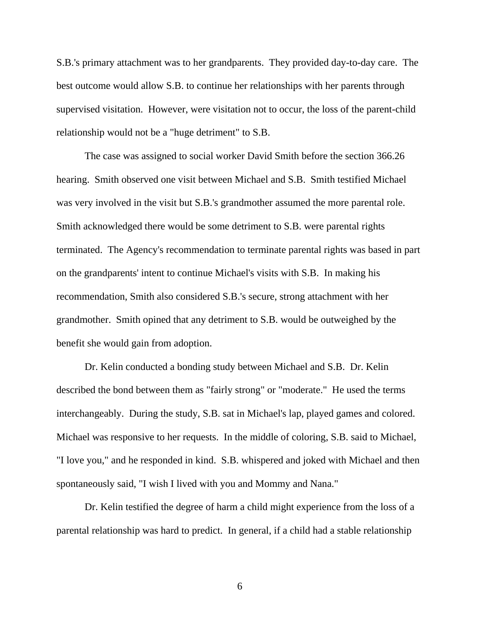S.B.'s primary attachment was to her grandparents. They provided day-to-day care. The best outcome would allow S.B. to continue her relationships with her parents through supervised visitation. However, were visitation not to occur, the loss of the parent-child relationship would not be a "huge detriment" to S.B.

 The case was assigned to social worker David Smith before the section 366.26 hearing. Smith observed one visit between Michael and S.B. Smith testified Michael was very involved in the visit but S.B.'s grandmother assumed the more parental role. Smith acknowledged there would be some detriment to S.B. were parental rights terminated. The Agency's recommendation to terminate parental rights was based in part on the grandparents' intent to continue Michael's visits with S.B. In making his recommendation, Smith also considered S.B.'s secure, strong attachment with her grandmother. Smith opined that any detriment to S.B. would be outweighed by the benefit she would gain from adoption.

 Dr. Kelin conducted a bonding study between Michael and S.B. Dr. Kelin described the bond between them as "fairly strong" or "moderate." He used the terms interchangeably. During the study, S.B. sat in Michael's lap, played games and colored. Michael was responsive to her requests. In the middle of coloring, S.B. said to Michael, "I love you," and he responded in kind. S.B. whispered and joked with Michael and then spontaneously said, "I wish I lived with you and Mommy and Nana."

 Dr. Kelin testified the degree of harm a child might experience from the loss of a parental relationship was hard to predict. In general, if a child had a stable relationship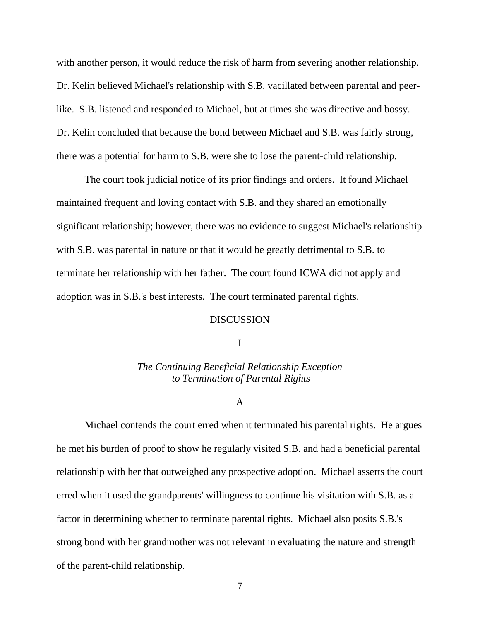with another person, it would reduce the risk of harm from severing another relationship. Dr. Kelin believed Michael's relationship with S.B. vacillated between parental and peerlike. S.B. listened and responded to Michael, but at times she was directive and bossy. Dr. Kelin concluded that because the bond between Michael and S.B. was fairly strong, there was a potential for harm to S.B. were she to lose the parent-child relationship.

 The court took judicial notice of its prior findings and orders. It found Michael maintained frequent and loving contact with S.B. and they shared an emotionally significant relationship; however, there was no evidence to suggest Michael's relationship with S.B. was parental in nature or that it would be greatly detrimental to S.B. to terminate her relationship with her father. The court found ICWA did not apply and adoption was in S.B.'s best interests. The court terminated parental rights.

#### DISCUSSION

#### I

## *The Continuing Beneficial Relationship Exception to Termination of Parental Rights*

### A

 Michael contends the court erred when it terminated his parental rights. He argues he met his burden of proof to show he regularly visited S.B. and had a beneficial parental relationship with her that outweighed any prospective adoption. Michael asserts the court erred when it used the grandparents' willingness to continue his visitation with S.B. as a factor in determining whether to terminate parental rights. Michael also posits S.B.'s strong bond with her grandmother was not relevant in evaluating the nature and strength of the parent-child relationship.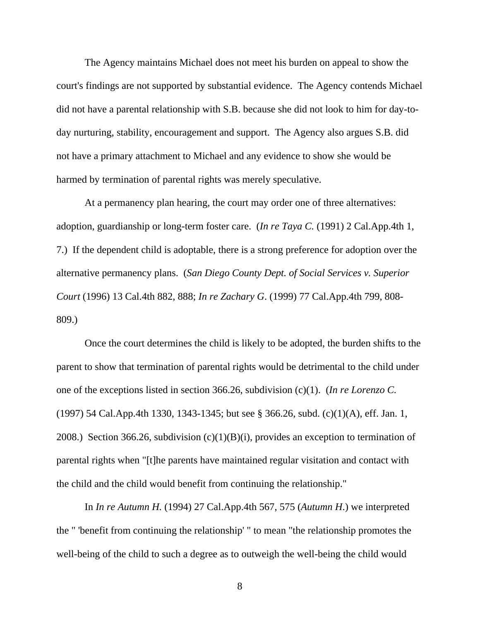The Agency maintains Michael does not meet his burden on appeal to show the court's findings are not supported by substantial evidence. The Agency contends Michael did not have a parental relationship with S.B. because she did not look to him for day-today nurturing, stability, encouragement and support. The Agency also argues S.B. did not have a primary attachment to Michael and any evidence to show she would be harmed by termination of parental rights was merely speculative.

 At a permanency plan hearing, the court may order one of three alternatives: adoption, guardianship or long-term foster care. (*In re Taya C.* (1991) 2 Cal.App.4th 1, 7.) If the dependent child is adoptable, there is a strong preference for adoption over the alternative permanency plans. (*San Diego County Dept. of Social Services v. Superior Court* (1996) 13 Cal.4th 882, 888; *In re Zachary G*. (1999) 77 Cal.App.4th 799, 808- 809.)

 Once the court determines the child is likely to be adopted, the burden shifts to the parent to show that termination of parental rights would be detrimental to the child under one of the exceptions listed in section 366.26, subdivision (c)(1). (*In re Lorenzo C.* (1997) 54 Cal.App.4th 1330, 1343-1345; but see § 366.26, subd. (c)(1)(A), eff. Jan. 1, 2008.) Section 366.26, subdivision  $(c)(1)(B)(i)$ , provides an exception to termination of parental rights when "[t]he parents have maintained regular visitation and contact with the child and the child would benefit from continuing the relationship."

 In *In re Autumn H.* (1994) 27 Cal.App.4th 567, 575 (*Autumn H*.) we interpreted the " 'benefit from continuing the relationship' " to mean "the relationship promotes the well-being of the child to such a degree as to outweigh the well-being the child would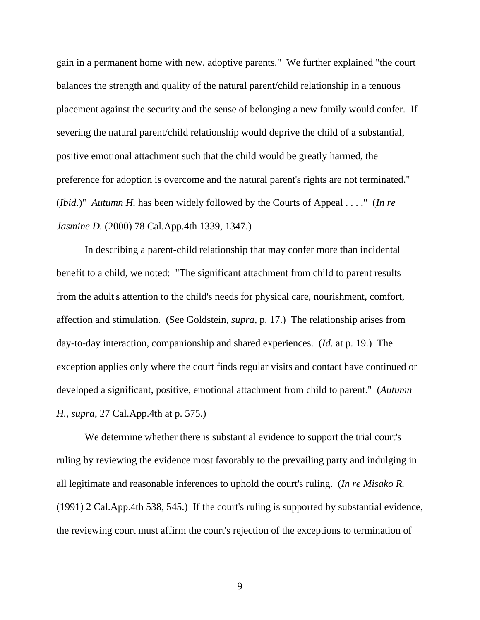gain in a permanent home with new, adoptive parents." We further explained "the court balances the strength and quality of the natural parent/child relationship in a tenuous placement against the security and the sense of belonging a new family would confer. If severing the natural parent/child relationship would deprive the child of a substantial, positive emotional attachment such that the child would be greatly harmed, the preference for adoption is overcome and the natural parent's rights are not terminated." (*Ibid*.)" *Autumn H.* has been widely followed by the Courts of Appeal . . . ." (*In re Jasmine D.* (2000) 78 Cal.App.4th 1339, 1347.)

 In describing a parent-child relationship that may confer more than incidental benefit to a child, we noted: "The significant attachment from child to parent results from the adult's attention to the child's needs for physical care, nourishment, comfort, affection and stimulation. (See Goldstein, *supra*, p. 17.) The relationship arises from day-to-day interaction, companionship and shared experiences. (*Id.* at p. 19.) The exception applies only where the court finds regular visits and contact have continued or developed a significant, positive, emotional attachment from child to parent." (*Autumn H., supra*, 27 Cal.App.4th at p. 575.)

 We determine whether there is substantial evidence to support the trial court's ruling by reviewing the evidence most favorably to the prevailing party and indulging in all legitimate and reasonable inferences to uphold the court's ruling. (*In re Misako R.* (1991) 2 Cal.App.4th 538, 545.) If the court's ruling is supported by substantial evidence, the reviewing court must affirm the court's rejection of the exceptions to termination of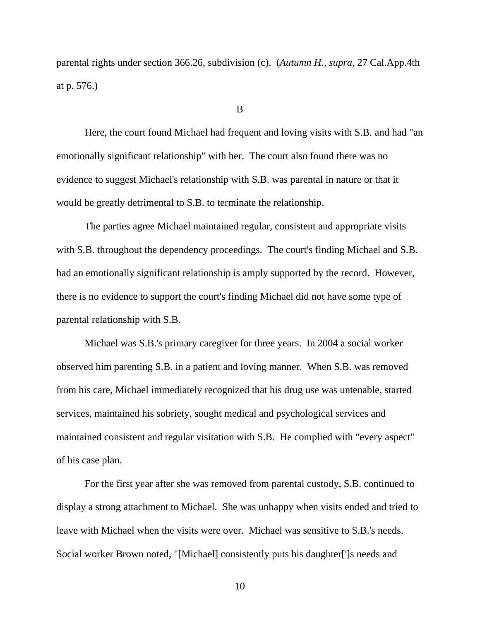parental rights under section 366.26, subdivision (c). (*Autumn H., supra,* 27 Cal.App.4th at p. 576.)

#### B

 Here, the court found Michael had frequent and loving visits with S.B. and had "an emotionally significant relationship" with her. The court also found there was no evidence to suggest Michael's relationship with S.B. was parental in nature or that it would be greatly detrimental to S.B. to terminate the relationship.

 The parties agree Michael maintained regular, consistent and appropriate visits with S.B. throughout the dependency proceedings. The court's finding Michael and S.B. had an emotionally significant relationship is amply supported by the record. However, there is no evidence to support the court's finding Michael did not have some type of parental relationship with S.B.

 Michael was S.B.'s primary caregiver for three years. In 2004 a social worker observed him parenting S.B. in a patient and loving manner. When S.B. was removed from his care, Michael immediately recognized that his drug use was untenable, started services, maintained his sobriety, sought medical and psychological services and maintained consistent and regular visitation with S.B. He complied with "every aspect" of his case plan.

 For the first year after she was removed from parental custody, S.B. continued to display a strong attachment to Michael. She was unhappy when visits ended and tried to leave with Michael when the visits were over. Michael was sensitive to S.B.'s needs. Social worker Brown noted, "[Michael] consistently puts his daughter[']s needs and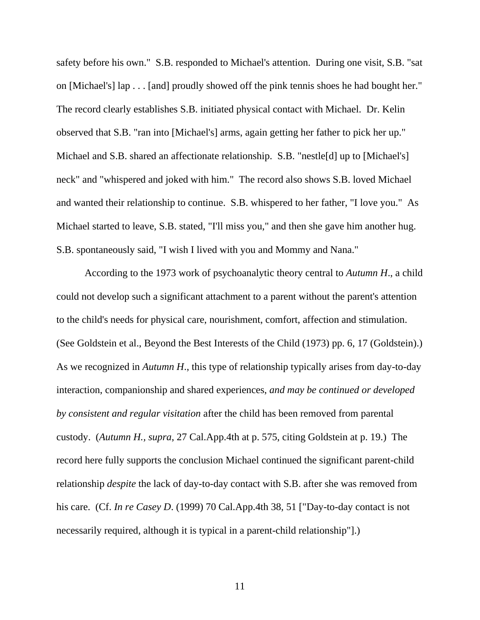safety before his own." S.B. responded to Michael's attention. During one visit, S.B. "sat on [Michael's] lap . . . [and] proudly showed off the pink tennis shoes he had bought her." The record clearly establishes S.B. initiated physical contact with Michael. Dr. Kelin observed that S.B. "ran into [Michael's] arms, again getting her father to pick her up." Michael and S.B. shared an affectionate relationship. S.B. "nestle[d] up to [Michael's] neck" and "whispered and joked with him." The record also shows S.B. loved Michael and wanted their relationship to continue. S.B. whispered to her father, "I love you." As Michael started to leave, S.B. stated, "I'll miss you," and then she gave him another hug. S.B. spontaneously said, "I wish I lived with you and Mommy and Nana."

 According to the 1973 work of psychoanalytic theory central to *Autumn H*., a child could not develop such a significant attachment to a parent without the parent's attention to the child's needs for physical care, nourishment, comfort, affection and stimulation. (See Goldstein et al., Beyond the Best Interests of the Child (1973) pp. 6, 17 (Goldstein).) As we recognized in *Autumn H*., this type of relationship typically arises from day-to-day interaction, companionship and shared experiences, *and may be continued or developed by consistent and regular visitation* after the child has been removed from parental custody. (*Autumn H., supra*, 27 Cal.App.4th at p. 575, citing Goldstein at p. 19.) The record here fully supports the conclusion Michael continued the significant parent-child relationship *despite* the lack of day-to-day contact with S.B. after she was removed from his care. (Cf. *In re Casey D.* (1999) 70 Cal.App.4th 38, 51 ["Day-to-day contact is not necessarily required, although it is typical in a parent-child relationship"].)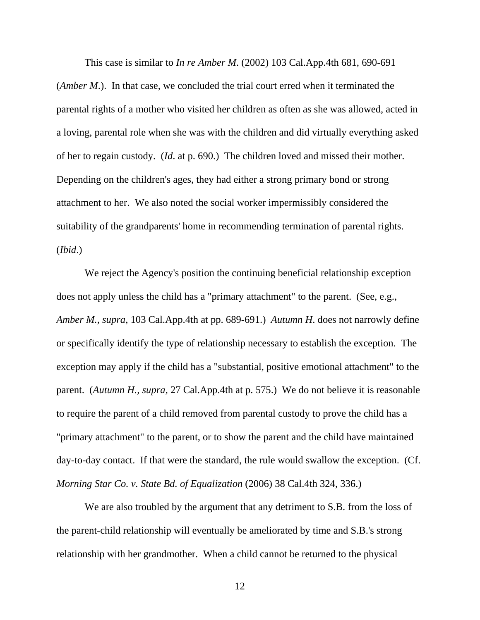This case is similar to *In re Amber M*. (2002) 103 Cal.App.4th 681, 690-691 (*Amber M*.). In that case, we concluded the trial court erred when it terminated the parental rights of a mother who visited her children as often as she was allowed, acted in a loving, parental role when she was with the children and did virtually everything asked of her to regain custody. (*Id*. at p. 690.) The children loved and missed their mother. Depending on the children's ages, they had either a strong primary bond or strong attachment to her. We also noted the social worker impermissibly considered the suitability of the grandparents' home in recommending termination of parental rights. (*Ibid*.)

 We reject the Agency's position the continuing beneficial relationship exception does not apply unless the child has a "primary attachment" to the parent. (See, e.g., *Amber M., supra*, 103 Cal.App.4th at pp. 689-691.) *Autumn H*. does not narrowly define or specifically identify the type of relationship necessary to establish the exception. The exception may apply if the child has a "substantial, positive emotional attachment" to the parent. (*Autumn H., supra,* 27 Cal.App.4th at p. 575.) We do not believe it is reasonable to require the parent of a child removed from parental custody to prove the child has a "primary attachment" to the parent, or to show the parent and the child have maintained day-to-day contact. If that were the standard, the rule would swallow the exception. (Cf. *Morning Star Co. v. State Bd. of Equalization* (2006) 38 Cal.4th 324, 336.)

We are also troubled by the argument that any detriment to S.B. from the loss of the parent-child relationship will eventually be ameliorated by time and S.B.'s strong relationship with her grandmother. When a child cannot be returned to the physical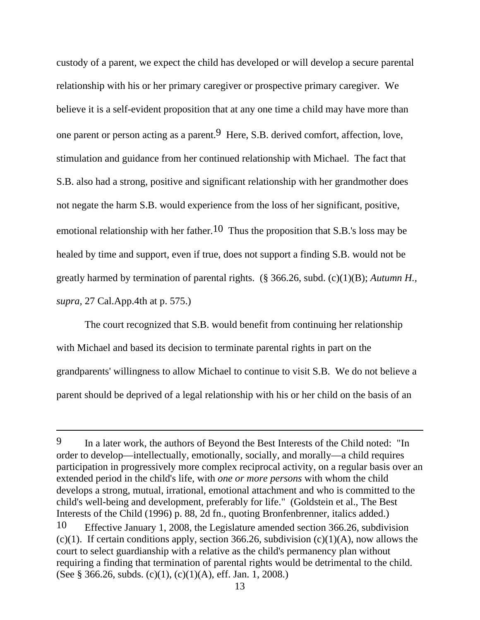custody of a parent, we expect the child has developed or will develop a secure parental relationship with his or her primary caregiver or prospective primary caregiver. We believe it is a self-evident proposition that at any one time a child may have more than one parent or person acting as a parent.9 Here, S.B. derived comfort, affection, love, stimulation and guidance from her continued relationship with Michael. The fact that S.B. also had a strong, positive and significant relationship with her grandmother does not negate the harm S.B. would experience from the loss of her significant, positive, emotional relationship with her father.<sup>10</sup> Thus the proposition that S.B.'s loss may be healed by time and support, even if true, does not support a finding S.B. would not be greatly harmed by termination of parental rights. (§ 366.26, subd. (c)(1)(B); *Autumn H., supra,* 27 Cal.App.4th at p. 575.)

 The court recognized that S.B. would benefit from continuing her relationship with Michael and based its decision to terminate parental rights in part on the grandparents' willingness to allow Michael to continue to visit S.B. We do not believe a parent should be deprived of a legal relationship with his or her child on the basis of an

<sup>9</sup> In a later work, the authors of Beyond the Best Interests of the Child noted:"In order to develop—intellectually, emotionally, socially, and morally—a child requires participation in progressively more complex reciprocal activity, on a regular basis over an extended period in the child's life, with *one or more persons* with whom the child develops a strong, mutual, irrational, emotional attachment and who is committed to the child's well-being and development, preferably for life." (Goldstein et al., The Best Interests of the Child (1996) p. 88, 2d fn., quoting Bronfenbrenner, italics added.)

<sup>10</sup>Effective January 1, 2008, the Legislature amended section 366.26, subdivision (c)(1). If certain conditions apply, section 366.26, subdivision (c)(1)(A), now allows the court to select guardianship with a relative as the child's permanency plan without requiring a finding that termination of parental rights would be detrimental to the child. (See § 366.26, subds. (c)(1), (c)(1)(A), eff. Jan. 1, 2008.)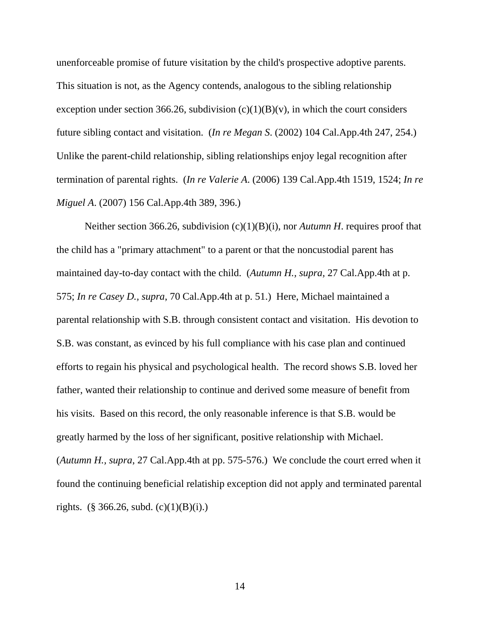unenforceable promise of future visitation by the child's prospective adoptive parents. This situation is not, as the Agency contends, analogous to the sibling relationship exception under section 366.26, subdivision  $(c)(1)(B)(v)$ , in which the court considers future sibling contact and visitation. (*In re Megan S*. (2002) 104 Cal.App.4th 247, 254.) Unlike the parent-child relationship, sibling relationships enjoy legal recognition after termination of parental rights. (*In re Valerie A*. (2006) 139 Cal.App.4th 1519, 1524; *In re Miguel A*. (2007) 156 Cal.App.4th 389, 396.)

Neither section 366.26, subdivision (c)(1)(B)(i), nor *Autumn H*. requires proof that the child has a "primary attachment" to a parent or that the noncustodial parent has maintained day-to-day contact with the child. (*Autumn H., supra,* 27 Cal.App.4th at p. 575; *In re Casey D., supra*, 70 Cal.App.4th at p. 51.) Here, Michael maintained a parental relationship with S.B. through consistent contact and visitation. His devotion to S.B. was constant, as evinced by his full compliance with his case plan and continued efforts to regain his physical and psychological health. The record shows S.B. loved her father, wanted their relationship to continue and derived some measure of benefit from his visits. Based on this record, the only reasonable inference is that S.B. would be greatly harmed by the loss of her significant, positive relationship with Michael. (*Autumn H., supra*, 27 Cal.App.4th at pp. 575-576.) We conclude the court erred when it found the continuing beneficial relatiship exception did not apply and terminated parental rights. (§ 366.26, subd.  $(c)(1)(B)(i)$ .)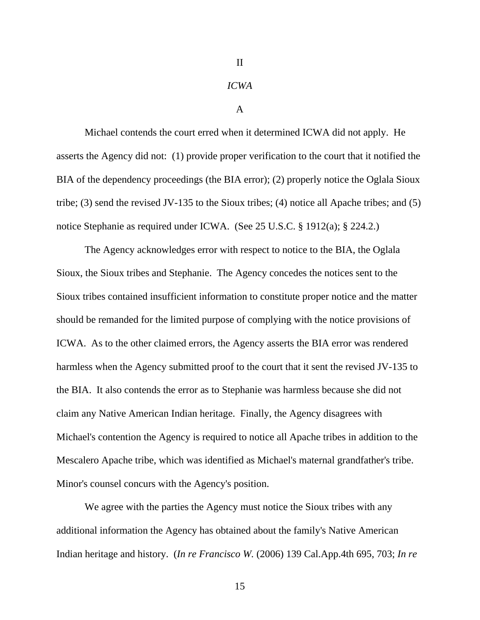### II

#### *ICWA*

#### A

 Michael contends the court erred when it determined ICWA did not apply. He asserts the Agency did not: (1) provide proper verification to the court that it notified the BIA of the dependency proceedings (the BIA error); (2) properly notice the Oglala Sioux tribe; (3) send the revised JV-135 to the Sioux tribes; (4) notice all Apache tribes; and (5) notice Stephanie as required under ICWA. (See 25 U.S.C. § 1912(a); § 224.2.)

 The Agency acknowledges error with respect to notice to the BIA, the Oglala Sioux, the Sioux tribes and Stephanie. The Agency concedes the notices sent to the Sioux tribes contained insufficient information to constitute proper notice and the matter should be remanded for the limited purpose of complying with the notice provisions of ICWA. As to the other claimed errors, the Agency asserts the BIA error was rendered harmless when the Agency submitted proof to the court that it sent the revised JV-135 to the BIA. It also contends the error as to Stephanie was harmless because she did not claim any Native American Indian heritage. Finally, the Agency disagrees with Michael's contention the Agency is required to notice all Apache tribes in addition to the Mescalero Apache tribe, which was identified as Michael's maternal grandfather's tribe. Minor's counsel concurs with the Agency's position.

We agree with the parties the Agency must notice the Sioux tribes with any additional information the Agency has obtained about the family's Native American Indian heritage and history. (*In re Francisco W.* (2006) 139 Cal.App.4th 695, 703; *In re*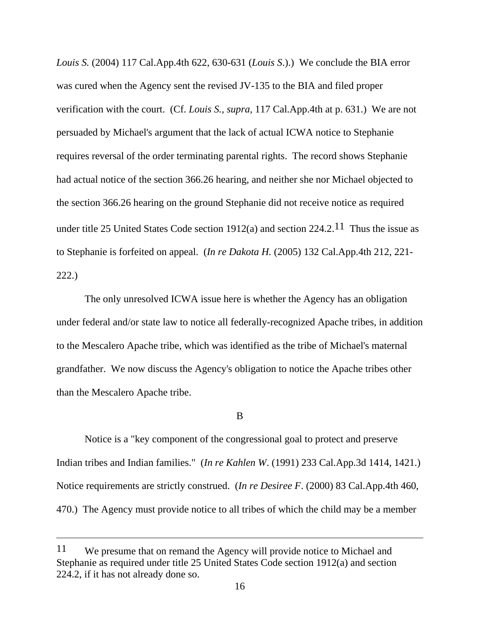*Louis S.* (2004) 117 Cal.App.4th 622, 630-631 (*Louis S*.).) We conclude the BIA error was cured when the Agency sent the revised JV-135 to the BIA and filed proper verification with the court. (Cf. *Louis S., supra,* 117 Cal.App.4th at p. 631.) We are not persuaded by Michael's argument that the lack of actual ICWA notice to Stephanie requires reversal of the order terminating parental rights. The record shows Stephanie had actual notice of the section 366.26 hearing, and neither she nor Michael objected to the section 366.26 hearing on the ground Stephanie did not receive notice as required under title 25 United States Code section 1912(a) and section  $224.2^{11}$  Thus the issue as to Stephanie is forfeited on appeal. (*In re Dakota H.* (2005) 132 Cal.App.4th 212, 221- 222.)

 The only unresolved ICWA issue here is whether the Agency has an obligation under federal and/or state law to notice all federally-recognized Apache tribes, in addition to the Mescalero Apache tribe, which was identified as the tribe of Michael's maternal grandfather. We now discuss the Agency's obligation to notice the Apache tribes other than the Mescalero Apache tribe.

B

 Notice is a "key component of the congressional goal to protect and preserve Indian tribes and Indian families." (*In re Kahlen W*. (1991) 233 Cal.App.3d 1414, 1421.) Notice requirements are strictly construed. (*In re Desiree F*. (2000) 83 Cal.App.4th 460, 470.) The Agency must provide notice to all tribes of which the child may be a member

<sup>11</sup> We presume that on remand the Agency will provide notice to Michael and Stephanie as required under title 25 United States Code section 1912(a) and section 224.2, if it has not already done so.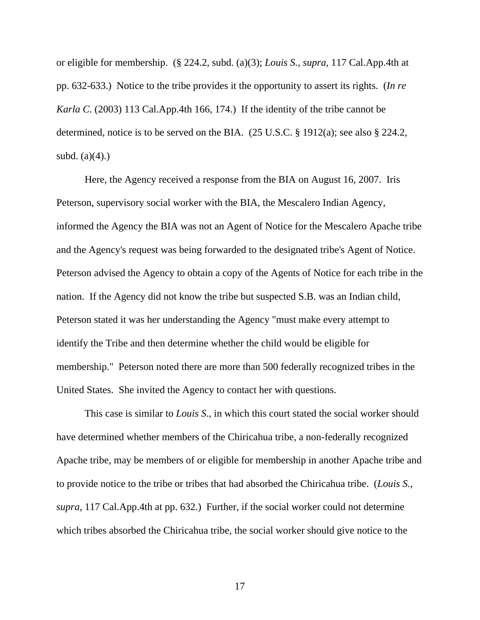or eligible for membership. (§ 224.2, subd. (a)(3); *Louis S., supra,* 117 Cal.App.4th at pp. 632-633.) Notice to the tribe provides it the opportunity to assert its rights. (*In re Karla C.* (2003) 113 Cal.App.4th 166, 174.) If the identity of the tribe cannot be determined, notice is to be served on the BIA. (25 U.S.C. § 1912(a); see also § 224.2, subd.  $(a)(4)$ .)

 Here, the Agency received a response from the BIA on August 16, 2007. Iris Peterson, supervisory social worker with the BIA, the Mescalero Indian Agency, informed the Agency the BIA was not an Agent of Notice for the Mescalero Apache tribe and the Agency's request was being forwarded to the designated tribe's Agent of Notice. Peterson advised the Agency to obtain a copy of the Agents of Notice for each tribe in the nation. If the Agency did not know the tribe but suspected S.B. was an Indian child, Peterson stated it was her understanding the Agency "must make every attempt to identify the Tribe and then determine whether the child would be eligible for membership." Peterson noted there are more than 500 federally recognized tribes in the United States. She invited the Agency to contact her with questions.

 This case is similar to *Louis S*., in which this court stated the social worker should have determined whether members of the Chiricahua tribe, a non-federally recognized Apache tribe, may be members of or eligible for membership in another Apache tribe and to provide notice to the tribe or tribes that had absorbed the Chiricahua tribe. (*Louis S., supra,* 117 Cal.App.4th at pp. 632.) Further, if the social worker could not determine which tribes absorbed the Chiricahua tribe, the social worker should give notice to the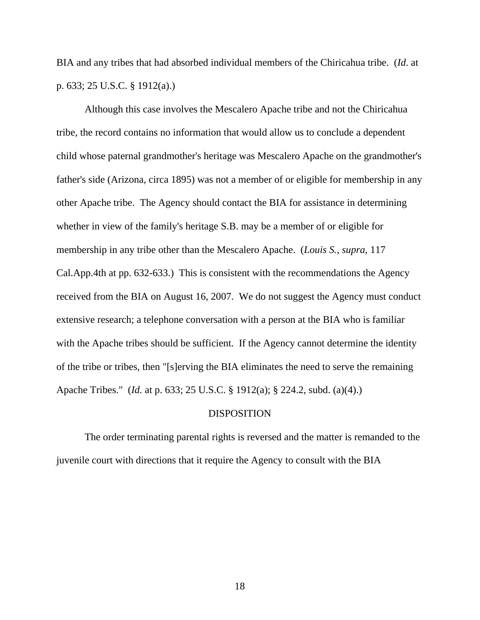BIA and any tribes that had absorbed individual members of the Chiricahua tribe. (*Id*. at p. 633; 25 U.S.C. § 1912(a).)

 Although this case involves the Mescalero Apache tribe and not the Chiricahua tribe, the record contains no information that would allow us to conclude a dependent child whose paternal grandmother's heritage was Mescalero Apache on the grandmother's father's side (Arizona, circa 1895) was not a member of or eligible for membership in any other Apache tribe. The Agency should contact the BIA for assistance in determining whether in view of the family's heritage S.B. may be a member of or eligible for membership in any tribe other than the Mescalero Apache. (*Louis S., supra*, 117 Cal.App.4th at pp. 632-633.) This is consistent with the recommendations the Agency received from the BIA on August 16, 2007. We do not suggest the Agency must conduct extensive research; a telephone conversation with a person at the BIA who is familiar with the Apache tribes should be sufficient. If the Agency cannot determine the identity of the tribe or tribes, then "[s]erving the BIA eliminates the need to serve the remaining Apache Tribes." (*Id.* at p. 633; 25 U.S.C. § 1912(a); § 224.2, subd. (a)(4).)

### DISPOSITION

 The order terminating parental rights is reversed and the matter is remanded to the juvenile court with directions that it require the Agency to consult with the BIA